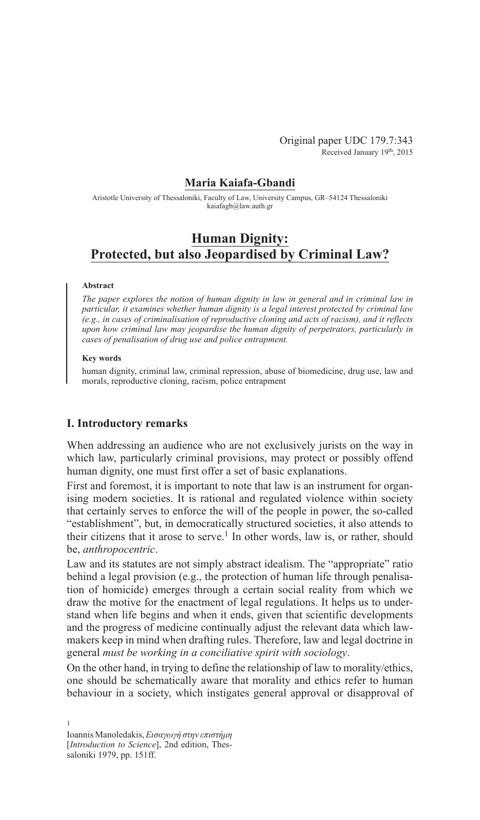# **Maria Kaiafa-Gbandi**

Aristotle University of Thessaloniki, Faculty of Law, University Campus, GR–54124 Thessaloniki kaiafagb@law.auth.gr

# **Human Dignity: Protected, but also Jeopardised by Criminal Law?**

### **Abstract**

*The paper explores the notion of human dignity in law in general and in criminal law in particular, it examines whether human dignity is a legal interest protected by criminal law (e.g., in cases of criminalisation of reproductive cloning and acts of racism), and it reflects upon how criminal law may jeopardise the human dignity of perpetrators, particularly in cases of penalisation of drug use and police entrapment.*

## **Key words**

human dignity, criminal law, criminal repression, abuse of biomedicine, drug use, law and morals, reproductive cloning, racism, police entrapment

# **I. Introductory remarks**

When addressing an audience who are not exclusively jurists on the way in which law, particularly criminal provisions, may protect or possibly offend human dignity, one must first offer a set of basic explanations.

First and foremost, it is important to note that law is an instrument for organising modern societies. It is rational and regulated violence within society that certainly serves to enforce the will of the people in power, the so-called "establishment", but, in democratically structured societies, it also attends to their citizens that it arose to serve.<sup>1</sup> In other words, law is, or rather, should be, *anthropocentric*.

Law and its statutes are not simply abstract idealism. The "appropriate" ratio behind a legal provision (e.g., the protection of human life through penalisation of homicide) emerges through a certain social reality from which we draw the motive for the enactment of legal regulations. It helps us to understand when life begins and when it ends, given that scientific developments and the progress of medicine continually adjust the relevant data which lawmakers keep in mind when drafting rules. Therefore, law and legal doctrine in general *must be working in a conciliative spirit with sociology*.

On the other hand, in trying to define the relationship of law to morality/ethics, one should be schematically aware that morality and ethics refer to human behaviour in a society, which instigates general approval or disapproval of

Ioannis Manoledakis,*Εισαγωγή στην επιστήμη*  [*Introduction to Science*], 2nd edition, Thessaloniki 1979, pp. 151ff.

1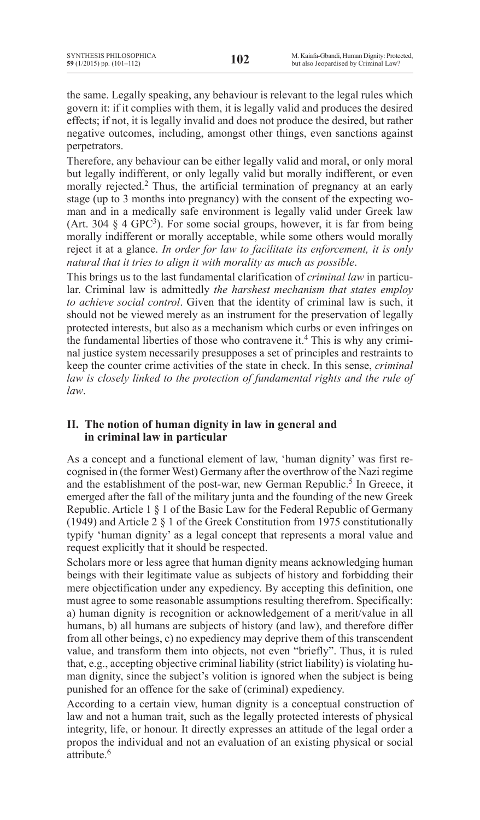the same. Legally speaking, any behaviour is relevant to the legal rules which govern it: if it complies with them, it is legally valid and produces the desired effects; if not, it is legally invalid and does not produce the desired, but rather negative outcomes, including, amongst other things, even sanctions against perpetrators.

Therefore, any behaviour can be either legally valid and moral, or only moral but legally indifferent, or only legally valid but morally indifferent, or even morally rejected.<sup>2</sup> Thus, the artificial termination of pregnancy at an early stage (up to 3 months into pregnancy) with the consent of the expecting woman and in a medically safe environment is legally valid under Greek law (Art. 304 § 4 GPC3). For some social groups, however, it is far from being morally indifferent or morally acceptable, while some others would morally reject it at a glance. *In order for law to facilitate its enforcement, it is only natural that it tries to align it with morality as much as possible*.

This brings us to the last fundamental clarification of *criminal law* in particular. Criminal law is admittedly *the harshest mechanism that states employ to achieve social control*. Given that the identity of criminal law is such, it should not be viewed merely as an instrument for the preservation of legally protected interests, but also as a mechanism which curbs or even infringes on the fundamental liberties of those who contravene it.4 This is why any criminal justice system necessarily presupposes a set of principles and restraints to keep the counter crime activities of the state in check. In this sense, *criminal*  law is closely linked to the protection of fundamental rights and the rule of *law*.

# **II. The notion of human dignity in law in general and in criminal law in particular**

As a concept and a functional element of law, 'human dignity' was first recognised in (the former West) Germany after the overthrow of the Nazi regime and the establishment of the post-war, new German Republic.<sup>5</sup> In Greece, it emerged after the fall of the military junta and the founding of the new Greek Republic. Article 1 § 1 of the Basic Law for the Federal Republic of Germany (1949) and Article 2 § 1 of the Greek Constitution from 1975 constitutionally typify 'human dignity' as a legal concept that represents a moral value and request explicitly that it should be respected.

Scholars more or less agree that human dignity means acknowledging human beings with their legitimate value as subjects of history and forbidding their mere objectification under any expediency. By accepting this definition, one must agree to some reasonable assumptions resulting therefrom. Specifically: a) human dignity is recognition or acknowledgement of a merit/value in all humans, b) all humans are subjects of history (and law), and therefore differ from all other beings, c) no expediency may deprive them of this transcendent value, and transform them into objects, not even "briefly". Thus, it is ruled that, e.g., accepting objective criminal liability (strict liability) is violating human dignity, since the subject's volition is ignored when the subject is being punished for an offence for the sake of (criminal) expediency.

According to a certain view, human dignity is a conceptual construction of law and not a human trait, such as the legally protected interests of physical integrity, life, or honour. It directly expresses an attitude of the legal order a propos the individual and not an evaluation of an existing physical or social attribute<sup>6</sup>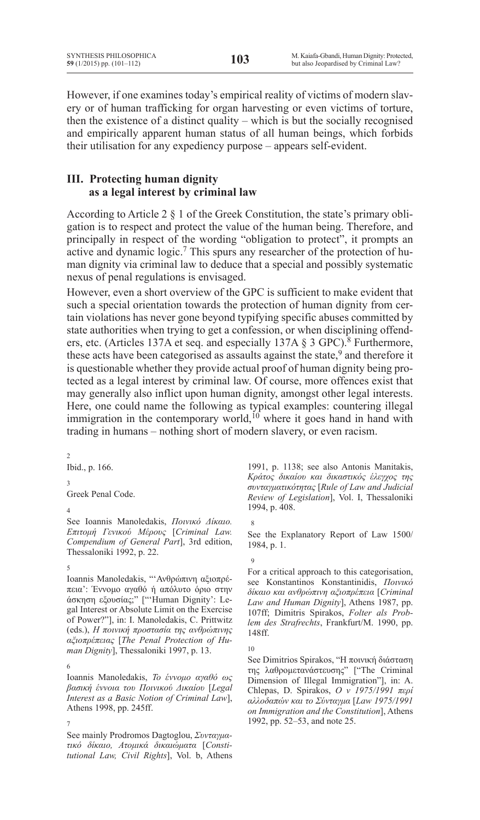However, if one examines today's empirical reality of victims of modern slavery or of human trafficking for organ harvesting or even victims of torture, then the existence of a distinct quality – which is but the socially recognised and empirically apparent human status of all human beings, which forbids their utilisation for any expediency purpose – appears self-evident.

# **III. Protecting human dignity as a legal interest by criminal law**

According to Article 2 § 1 of the Greek Constitution, the state's primary obligation is to respect and protect the value of the human being. Therefore, and principally in respect of the wording "obligation to protect", it prompts an active and dynamic logic.<sup>7</sup> This spurs any researcher of the protection of human dignity via criminal law to deduce that a special and possibly systematic nexus of penal regulations is envisaged.

However, even a short overview of the GPC is sufficient to make evident that such a special orientation towards the protection of human dignity from certain violations has never gone beyond typifying specific abuses committed by state authorities when trying to get a confession, or when disciplining offenders, etc. (Articles 137A et seq. and especially 137A § 3 GPC).<sup>8</sup> Furthermore, these acts have been categorised as assaults against the state,<sup>9</sup> and therefore it is questionable whether they provide actual proof of human dignity being protected as a legal interest by criminal law. Of course, more offences exist that may generally also inflict upon human dignity, amongst other legal interests. Here, one could name the following as typical examples: countering illegal immigration in the contemporary world,<sup>10</sup> where it goes hand in hand with trading in humans – nothing short of modern slavery, or even racism.

2 Ibid., p. 166. 3 Greek Penal Code.

### 4

See Ioannis Manoledakis, *Ποινικό Δίκαιο. Επιτομή Γενικού Μέρους* [*Criminal Law. Compendium of General Part*], 3rd edition, Thessaloniki 1992, p. 22.

### 5

Ioannis Manoledakis, "'Ανθρώπινη αξιοπρέπεια': Έννομο αγαθό ή απόλυτο όριο στην άσκηση εξουσίας;" ["'Human Dignity': Legal Interest or Absolute Limit on the Exercise of Power?"], in: I. Manoledakis, C. Prittwitz (eds.), *Η ποινική προστασία της ανθρώπινης αξιοπρέπειας* [*The Penal Protection of Human Dignity*], Thessaloniki 1997, p. 13.

### 6

Ioannis Manoledakis, *Το έννομο αγαθό ως βασική έννοια του Ποινικού Δικαίου* [*Legal Interest as a Basic Notion of Criminal Law*], Athens 1998, pp. 245ff.

7

See mainly Prodromos Dagtoglou, *Συνταγματικό δίκαιο, Ατομικά δικαιώματα* [*Constitutional Law, Civil Rights*], Vol. b, Athens

1991, p. 1138; see also Antonis Manitakis, *Κράτος δικαίου και δικαστικός έλεγχος της συνταγματικότητας* [*Rule of Law and Judicial Review of Legislation*], Vol. I, Thessaloniki 1994, p. 408.

## 8

See the Explanatory Report of Law 1500/ 1984, p. 1.

#### 9

For a critical approach to this categorisation, see Konstantinos Konstantinidis, *Ποινικό δίκαιο και ανθρώπινη αξιοπρέπεια* [*Criminal Law and Human Dignity*], Athens 1987, pp. 107ff; Dimitris Spirakos, *Folter als Problem des Strafrechts*, Frankfurt/M. 1990, pp. 148ff.

See Dimitrios Spirakos, "Η ποινική διάσταση της λαθρομετανάστευσης" ["The Criminal Dimension of Illegal Immigration"], in: A. Chlepas, D. Spirakos, *Ο ν 1975/1991 περί αλλοδαπών και το Σύνταγμα* [*Law 1975/1991 on Immigration and the Constitution*], Athens 1992, pp. 52–53, and note 25.

<sup>10</sup>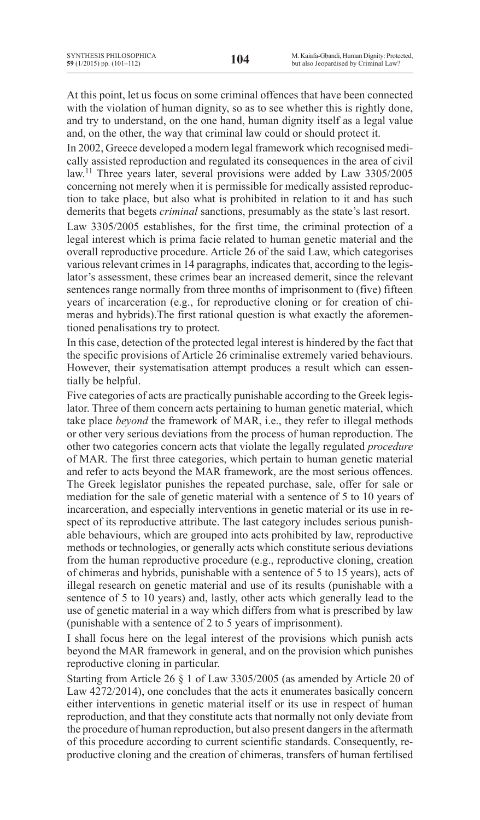At this point, let us focus on some criminal offences that have been connected with the violation of human dignity, so as to see whether this is rightly done, and try to understand, on the one hand, human dignity itself as a legal value and, on the other, the way that criminal law could or should protect it.

In 2002, Greece developed a modern legal framework which recognised medically assisted reproduction and regulated its consequences in the area of civil law.11 Three years later, several provisions were added by Law 3305/2005 concerning not merely when it is permissible for medically assisted reproduction to take place, but also what is prohibited in relation to it and has such demerits that begets *criminal* sanctions, presumably as the state's last resort.

Law 3305/2005 establishes, for the first time, the criminal protection of a legal interest which is prima facie related to human genetic material and the overall reproductive procedure. Article 26 of the said Law, which categorises various relevant crimes in 14 paragraphs, indicates that, according to the legislator's assessment, these crimes bear an increased demerit, since the relevant sentences range normally from three months of imprisonment to (five) fifteen years of incarceration (e.g., for reproductive cloning or for creation of chimeras and hybrids).The first rational question is what exactly the aforementioned penalisations try to protect.

In this case, detection of the protected legal interest is hindered by the fact that the specific provisions of Article 26 criminalise extremely varied behaviours. However, their systematisation attempt produces a result which can essentially be helpful.

Five categories of acts are practically punishable according to the Greek legislator. Three of them concern acts pertaining to human genetic material, which take place *beyond* the framework of MAR, i.e., they refer to illegal methods or other very serious deviations from the process of human reproduction. The other two categories concern acts that violate the legally regulated *procedure*  of MAR. The first three categories, which pertain to human genetic material and refer to acts beyond the MAR framework, are the most serious offences. The Greek legislator punishes the repeated purchase, sale, offer for sale or mediation for the sale of genetic material with a sentence of 5 to 10 years of incarceration, and especially interventions in genetic material or its use in respect of its reproductive attribute. The last category includes serious punishable behaviours, which are grouped into acts prohibited by law, reproductive methods or technologies, or generally acts which constitute serious deviations from the human reproductive procedure (e.g., reproductive cloning, creation of chimeras and hybrids, punishable with a sentence of 5 to 15 years), acts of illegal research on genetic material and use of its results (punishable with a sentence of 5 to 10 years) and, lastly, other acts which generally lead to the use of genetic material in a way which differs from what is prescribed by law (punishable with a sentence of 2 to 5 years of imprisonment).

I shall focus here on the legal interest of the provisions which punish acts beyond the MAR framework in general, and on the provision which punishes reproductive cloning in particular.

Starting from Article 26 § 1 of Law 3305/2005 (as amended by Article 20 of Law 4272/2014), one concludes that the acts it enumerates basically concern either interventions in genetic material itself or its use in respect of human reproduction, and that they constitute acts that normally not only deviate from the procedure of human reproduction, but also present dangers in the aftermath of this procedure according to current scientific standards. Consequently, reproductive cloning and the creation of chimeras, transfers of human fertilised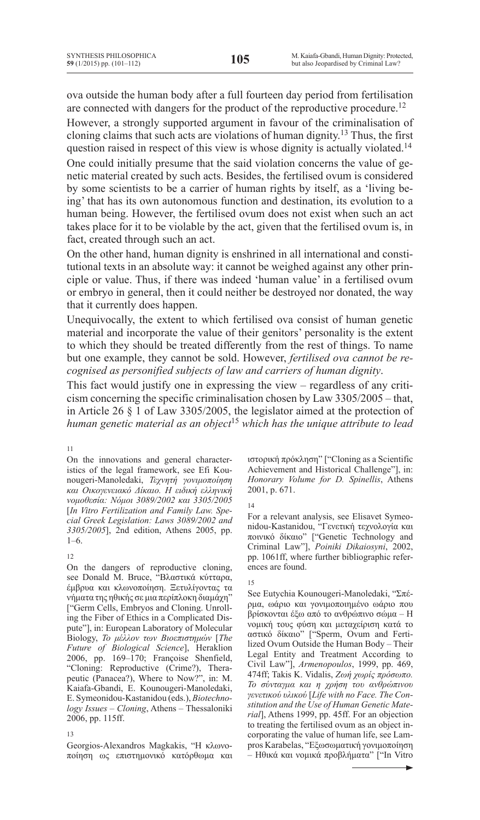ova outside the human body after a full fourteen day period from fertilisation are connected with dangers for the product of the reproductive procedure.<sup>12</sup>

However, a strongly supported argument in favour of the criminalisation of cloning claims that such acts are violations of human dignity.<sup>13</sup> Thus, the first question raised in respect of this view is whose dignity is actually violated.<sup>14</sup>

One could initially presume that the said violation concerns the value of genetic material created by such acts. Besides, the fertilised ovum is considered by some scientists to be a carrier of human rights by itself, as a 'living being' that has its own autonomous function and destination, its evolution to a human being. However, the fertilised ovum does not exist when such an act takes place for it to be violable by the act, given that the fertilised ovum is, in fact, created through such an act.

On the other hand, human dignity is enshrined in all international and constitutional texts in an absolute way: it cannot be weighed against any other principle or value. Thus, if there was indeed 'human value' in a fertilised ovum or embryo in general, then it could neither be destroyed nor donated, the way that it currently does happen.

Unequivocally, the extent to which fertilised ova consist of human genetic material and incorporate the value of their genitors' personality is the extent to which they should be treated differently from the rest of things. To name but one example, they cannot be sold. However, *fertilised ova cannot be recognised as personified subjects of law and carriers of human dignity*.

This fact would justify one in expressing the view – regardless of any criticism concerning the specific criminalisation chosen by Law 3305/2005 – that, in Article 26 § 1 of Law 3305/2005, the legislator aimed at the protection of *human genetic material as an object*<sup>15</sup> *which has the unique attribute to lead* 

11

On the innovations and general characteristics of the legal framework, see Efi Kounougeri-Manoledaki, *Τεχνητή γονιμοποίηση και Οικογενειακό Δίκαιο. Η ειδική ελληνική νομοθεσία: Νόμοι 3089/2002 και 3305/2005*  [*In Vitro Fertilization and Family Law. Special Greek Legislation: Laws 3089/2002 and 3305/2005*], 2nd edition, Athens 2005, pp. 1–6.

## 12

On the dangers of reproductive cloning, see Donald M. Bruce, "Βλαστικά κύτταρα, έμβρυα και κλωνοποίηση. Ξετυλίγοντας τα νήματα της ηθικής σε μια περίπλοκη διαμάχη" ["Germ Cells, Embryos and Cloning. Unrolling the Fiber of Ethics in a Complicated Dispute"], in: European Laboratory of Molecular Biology, *Το μέλλον των Βιοεπιστημών* [*The Future of Biological Science*], Heraklion 2006, pp. 169–170; Françoise Shenfield, "Cloning: Reproductive (Crime?), Therapeutic (Panacea?), Where to Now?", in: M. Kaiafa-Gbandi, E. Kounougeri-Manoledaki, E. Symeonidou-Kastanidou (eds.), *Biotechnology Issues – Cloning*, Athens – Thessaloniki 2006, pp. 115ff.

### 13

Georgios-Alexandros Magkakis, "Η κλωνοποίηση ως επιστημονικό κατόρθωμα και ιστορική πρόκληση" ["Cloning as a Scientific Achievement and Historical Challenge"], in: *Honorary Volume for D. Spinellis*, Athens 2001, p. 671.

### 14

For a relevant analysis, see Elisavet Symeonidou-Kastanidou, "Γενετική τεχνολογία και ποινικό δίκαιο" ["Genetic Technology and Criminal Law"], *Poiniki Dikaiosyni*, 2002, pp. 1061ff, where further bibliographic references are found.

### 15

See Eutychia Kounougeri-Manoledaki, "Σπέρμα, ωάριο και γονιμοποιημένο ωάριο που βρίσκονται έξω από το ανθρώπινο σώμα – Η νομική τους φύση και μεταχείριση κατά το αστικό δίκαιο" ["Sperm, Ovum and Fertilized Ovum Outside the Human Body – Their Legal Entity and Treatment According to Civil Law"], *Armenopoulos*, 1999, pp. 469, 474ff; Takis K. Vidalis, *Ζωή χωρίς πρόσωπο. Το σύνταγμα και η χρήση του ανθρώπινου γενετικού υλικού* [*Life with no Face. The Constitution and the Use of Human Genetic Material*], Athens 1999, pp. 45ff. For an objection to treating the fertilised ovum as an object incorporating the value of human life, see Lampros Karabelas, "Εξωσωματική γονιμοποίηση – Ηθικά και νομικά προβλήματα" ["In Vitro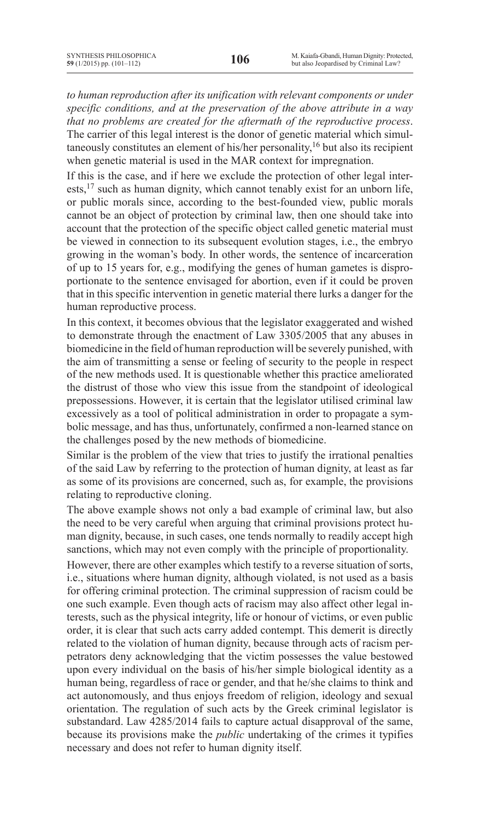*to human reproduction after its unification with relevant components or under specific conditions, and at the preservation of the above attribute in a way that no problems are created for the aftermath of the reproductive process*. The carrier of this legal interest is the donor of genetic material which simultaneously constitutes an element of his/her personality,<sup>16</sup> but also its recipient when genetic material is used in the MAR context for impregnation.

If this is the case, and if here we exclude the protection of other legal interests,<sup>17</sup> such as human dignity, which cannot tenably exist for an unborn life, or public morals since, according to the best-founded view, public morals cannot be an object of protection by criminal law, then one should take into account that the protection of the specific object called genetic material must be viewed in connection to its subsequent evolution stages, i.e., the embryo growing in the woman's body. In other words, the sentence of incarceration of up to 15 years for, e.g., modifying the genes of human gametes is disproportionate to the sentence envisaged for abortion, even if it could be proven that in this specific intervention in genetic material there lurks a danger for the human reproductive process.

In this context, it becomes obvious that the legislator exaggerated and wished to demonstrate through the enactment of Law 3305/2005 that any abuses in biomedicine in the field of human reproduction will be severely punished, with the aim of transmitting a sense or feeling of security to the people in respect of the new methods used. It is questionable whether this practice ameliorated the distrust of those who view this issue from the standpoint of ideological prepossessions. However, it is certain that the legislator utilised criminal law excessively as a tool of political administration in order to propagate a symbolic message, and has thus, unfortunately, confirmed a non-learned stance on the challenges posed by the new methods of biomedicine.

Similar is the problem of the view that tries to justify the irrational penalties of the said Law by referring to the protection of human dignity, at least as far as some of its provisions are concerned, such as, for example, the provisions relating to reproductive cloning.

The above example shows not only a bad example of criminal law, but also the need to be very careful when arguing that criminal provisions protect human dignity, because, in such cases, one tends normally to readily accept high sanctions, which may not even comply with the principle of proportionality.

However, there are other examples which testify to a reverse situation of sorts, i.e., situations where human dignity, although violated, is not used as a basis for offering criminal protection. The criminal suppression of racism could be one such example. Even though acts of racism may also affect other legal interests, such as the physical integrity, life or honour of victims, or even public order, it is clear that such acts carry added contempt. This demerit is directly related to the violation of human dignity, because through acts of racism perpetrators deny acknowledging that the victim possesses the value bestowed upon every individual on the basis of his/her simple biological identity as a human being, regardless of race or gender, and that he/she claims to think and act autonomously, and thus enjoys freedom of religion, ideology and sexual orientation. The regulation of such acts by the Greek criminal legislator is substandard. Law 4285/2014 fails to capture actual disapproval of the same, because its provisions make the *public* undertaking of the crimes it typifies necessary and does not refer to human dignity itself.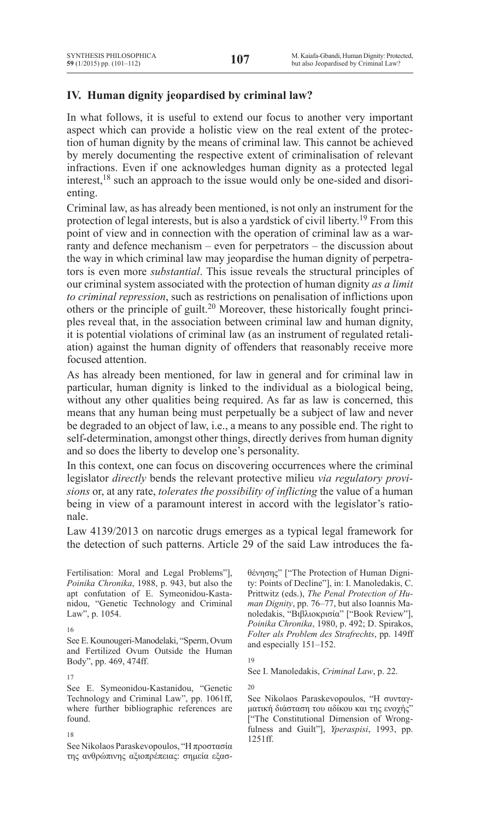# **IV. Human dignity jeopardised by criminal law?**

In what follows, it is useful to extend our focus to another very important aspect which can provide a holistic view on the real extent of the protection of human dignity by the means of criminal law. This cannot be achieved by merely documenting the respective extent of criminalisation of relevant infractions. Even if one acknowledges human dignity as a protected legal interest,18 such an approach to the issue would only be one-sided and disorienting.

Criminal law, as has already been mentioned, is not only an instrument for the protection of legal interests, but is also a yardstick of civil liberty.19 From this point of view and in connection with the operation of criminal law as a warranty and defence mechanism – even for perpetrators – the discussion about the way in which criminal law may jeopardise the human dignity of perpetrators is even more *substantial*. This issue reveals the structural principles of our criminal system associated with the protection of human dignity *as a limit to criminal repression*, such as restrictions on penalisation of inflictions upon others or the principle of guilt.<sup>20</sup> Moreover, these historically fought principles reveal that, in the association between criminal law and human dignity, it is potential violations of criminal law (as an instrument of regulated retaliation) against the human dignity of offenders that reasonably receive more focused attention.

As has already been mentioned, for law in general and for criminal law in particular, human dignity is linked to the individual as a biological being, without any other qualities being required. As far as law is concerned, this means that any human being must perpetually be a subject of law and never be degraded to an object of law, i.e., a means to any possible end. The right to self-determination, amongst other things, directly derives from human dignity and so does the liberty to develop one's personality.

In this context, one can focus on discovering occurrences where the criminal legislator *directly* bends the relevant protective milieu *via regulatory provisions* or, at any rate, *tolerates the possibility of inflicting* the value of a human being in view of a paramount interest in accord with the legislator's rationale.

Law 4139/2013 on narcotic drugs emerges as a typical legal framework for the detection of such patterns. Article 29 of the said Law introduces the fa-

Fertilisation: Moral and Legal Problems"], *Poinika Chronika*, 1988, p. 943, but also the apt confutation of E. Symeonidou-Kastanidou, "Genetic Technology and Criminal Law", p. 1054.

See E. Kounougeri-Manodelaki, "Sperm, Ovum and Fertilized Ovum Outside the Human Body", pp. 469, 474ff.

17

See E. Symeonidou-Kastanidou, "Genetic Technology and Criminal Law", pp. 1061ff, where further bibliographic references are found.

### 18

See Nikolaos Paraskevopoulos, "Η προστασία της ανθρώπινης αξιοπρέπειας: σημεία εξασθένησης" ["The Protection of Human Dignity: Points of Decline"], in: I. Manoledakis, C. Prittwitz (eds.), *The Penal Protection of Human Dignity*, pp. 76–77, but also Ioannis Manoledakis, "Βιβλιοκρισία" ["Book Review"], *Poinika Chronika*, 1980, p. 492; D. Spirakos, *Folter als Problem des Strafrechts*, pp. 149ff and especially 151–152.

See I. Manoledakis, *Criminal Law*, p. 22.

20

See Nikolaos Paraskevopoulos, "Η συνταγματική διάσταση του αδίκου και της ενοχής" ["The Constitutional Dimension of Wrongfulness and Guilt"], *Yperaspisi*, 1993, pp. 1251ff.

<sup>16</sup>

<sup>19</sup>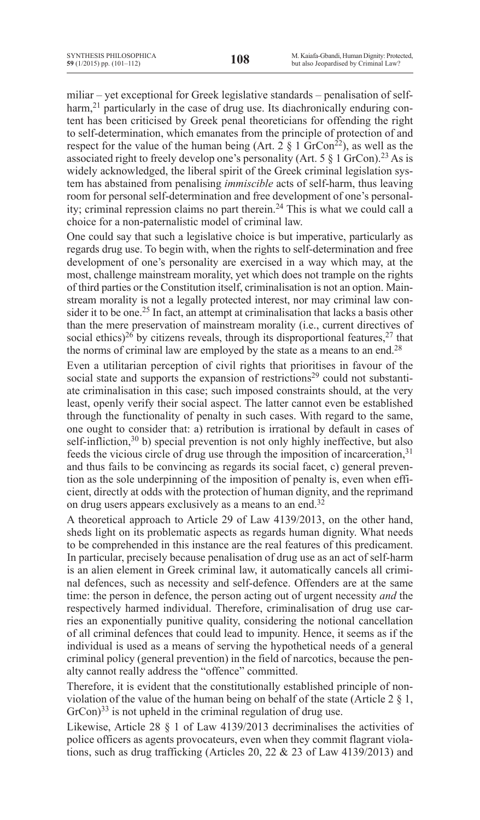miliar – yet exceptional for Greek legislative standards – penalisation of selfharm,<sup>21</sup> particularly in the case of drug use. Its diachronically enduring content has been criticised by Greek penal theoreticians for offending the right to self-determination, which emanates from the principle of protection of and respect for the value of the human being (Art.  $2 \hat{\S}$  1 GrCon<sup>22</sup>), as well as the associated right to freely develop one's personality (Art. 5  $\S$  1 GrCon).<sup>23</sup> As is widely acknowledged, the liberal spirit of the Greek criminal legislation system has abstained from penalising *immiscible* acts of self-harm, thus leaving room for personal self-determination and free development of one's personality; criminal repression claims no part therein.<sup>24</sup> This is what we could call a choice for a non-paternalistic model of criminal law.

One could say that such a legislative choice is but imperative, particularly as regards drug use. To begin with, when the rights to self-determination and free development of one's personality are exercised in a way which may, at the most, challenge mainstream morality, yet which does not trample on the rights of third parties or the Constitution itself, criminalisation is not an option. Mainstream morality is not a legally protected interest, nor may criminal law consider it to be one.<sup>25</sup> In fact, an attempt at criminalisation that lacks a basis other than the mere preservation of mainstream morality (i.e., current directives of social ethics)<sup>26</sup> by citizens reveals, through its disproportional features,<sup>27</sup> that the norms of criminal law are employed by the state as a means to an end.<sup>28</sup>

Even a utilitarian perception of civil rights that prioritises in favour of the social state and supports the expansion of restrictions<sup>29</sup> could not substantiate criminalisation in this case; such imposed constraints should, at the very least, openly verify their social aspect. The latter cannot even be established through the functionality of penalty in such cases. With regard to the same, one ought to consider that: a) retribution is irrational by default in cases of self-infliction, $30$  b) special prevention is not only highly ineffective, but also feeds the vicious circle of drug use through the imposition of incarceration,<sup>31</sup> and thus fails to be convincing as regards its social facet, c) general prevention as the sole underpinning of the imposition of penalty is, even when efficient, directly at odds with the protection of human dignity, and the reprimand on drug users appears exclusively as a means to an end.<sup>32</sup>

A theoretical approach to Article 29 of Law 4139/2013, on the other hand, sheds light on its problematic aspects as regards human dignity. What needs to be comprehended in this instance are the real features of this predicament. In particular, precisely because penalisation of drug use as an act of self-harm is an alien element in Greek criminal law, it automatically cancels all criminal defences, such as necessity and self-defence. Offenders are at the same time: the person in defence, the person acting out of urgent necessity *and* the respectively harmed individual. Therefore, criminalisation of drug use carries an exponentially punitive quality, considering the notional cancellation of all criminal defences that could lead to impunity. Hence, it seems as if the individual is used as a means of serving the hypothetical needs of a general criminal policy (general prevention) in the field of narcotics, because the penalty cannot really address the "offence" committed.

Therefore, it is evident that the constitutionally established principle of nonviolation of the value of the human being on behalf of the state (Article 2 § 1, GrCon)<sup>33</sup> is not upheld in the criminal regulation of drug use.

Likewise, Article 28 § 1 of Law 4139/2013 decriminalises the activities of police officers as agents provocateurs, even when they commit flagrant violations, such as drug trafficking (Articles 20, 22 & 23 of Law 4139/2013) and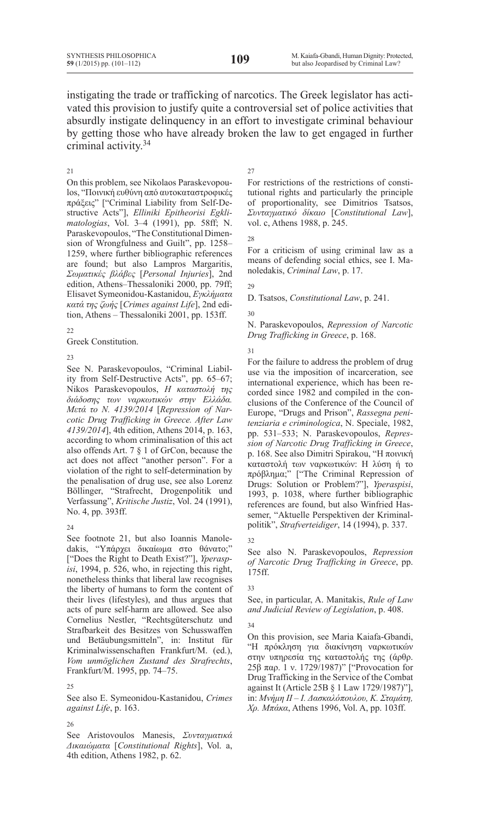instigating the trade or trafficking of narcotics. The Greek legislator has activated this provision to justify quite a controversial set of police activities that absurdly instigate delinquency in an effort to investigate criminal behaviour by getting those who have already broken the law to get engaged in further criminal activity.<sup>34</sup>

#### 21

On this problem, see Nikolaos Paraskevopoulos, "Ποινική ευθύνη από αυτοκαταστροφικές πράξεις" ["Criminal Liability from Self-Destructive Acts"], *Elliniki Epitheorisi Egklimatologias*, Vol. 3–4 (1991), pp. 58ff; N. Paraskevopoulos, "The Constitutional Dimension of Wrongfulness and Guilt", pp. 1258– 1259, where further bibliographic references are found; but also Lampros Margaritis, *Σωματικές βλάβες* [*Personal Injuries*], 2nd edition, Athens–Thessaloniki 2000, pp. 79ff; Elisavet Symeonidou-Kastanidou, *Εγκλήματα κατά της ζωής* [*Crimes against Life*], 2nd edition, Athens – Thessaloniki 2001, pp. 153ff.

### 22

Greek Constitution.

23

See N. Paraskevopoulos, "Criminal Liability from Self-Destructive Acts", pp. 65–67; Nikos Paraskevopoulos, *Η καταστολή της διάδοσης των ναρκωτικών στην Ελλάδα. Μετά το Ν. 4139/2014* [*Repression of Narcotic Drug Trafficking in Greece. After Law 4139/2014*], 4th edition, Athens 2014, p. 163, according to whom criminalisation of this act also offends Art. 7 § 1 of GrCon, because the act does not affect "another person". For a violation of the right to self-determination by the penalisation of drug use, see also Lorenz Böllinger, "Strafrecht, Drogenpolitik und Verfassung", *Kritische Justiz*, Vol. 24 (1991), No. 4, pp. 393ff.

### 24

See footnote 21, but also Ioannis Manoledakis, "Υπάρχει δικαίωμα στο θάνατο;" ["Does the Right to Death Exist?"], *Yperaspisi*, 1994, p. 526, who, in rejecting this right, nonetheless thinks that liberal law recognises the liberty of humans to form the content of their lives (lifestyles), and thus argues that acts of pure self-harm are allowed. See also Cornelius Nestler, "Rechtsgüterschutz und Strafbarkeit des Besitzes von Schusswaffen und Betäubungsmitteln", in: Institut für Kriminalwissenschaften Frankfurt/M. (ed.), *Vom unmöglichen Zustand des Strafrechts*, Frankfurt/M. 1995, pp. 74–75.

## $25$

See also E. Symeonidou-Kastanidou, *Crimes against Life*, p. 163.

### 26

See Aristovoulos Manesis, *Συνταγματικά Δικαιώματα* [*Constitutional Rights*], Vol. a, 4th edition, Athens 1982, p. 62.

## $27$

For restrictions of the restrictions of constitutional rights and particularly the principle of proportionality, see Dimitrios Tsatsos, *Συνταγματικό δίκαιο* [*Constitutional Law*], vol. c, Athens 1988, p. 245.

28

For a criticism of using criminal law as a means of defending social ethics, see I. Manoledakis, *Criminal Law*, p. 17.

## 29

D. Tsatsos, *Constitutional Law*, p. 241.

30

N. Paraskevopoulos, *Repression of Narcotic Drug Trafficking in Greece*, p. 168.

31

For the failure to address the problem of drug use via the imposition of incarceration, see international experience, which has been recorded since 1982 and compiled in the conclusions of the Conference of the Council of Europe, "Drugs and Prison", *Rassegna penitenziaria e criminologica*, N. Speciale, 1982, pp. 531–533; N. Paraskevopoulos, *Repression of Narcotic Drug Trafficking in Greece*, p. 168. See also Dimitri Spirakou, "Η ποινική καταστολή των ναρκωτικών: Η λύση ή το πρόβλημα;" ["The Criminal Repression of Drugs: Solution or Problem?"], *Yperaspisi*, 1993, p. 1038, where further bibliographic references are found, but also Winfried Hassemer, "Aktuelle Perspektiven der Kriminalpolitik", *Strafverteidiger*, 14 (1994), p. 337.

32

See also N. Paraskevopoulos, *Repression of Narcotic Drug Trafficking in Greece*, pp. 175ff.

### 33

See, in particular, A. Manitakis, *Rule of Law and Judicial Review of Legislation*, p. 408.

# 34

On this provision, see Maria Kaiafa-Gbandi, "Η πρόκληση για διακίνηση ναρκωτικών στην υπηρεσία της καταστολής της (άρθρ. 25β παρ. 1 ν. 1729/1987)" ["Provocation for Drug Trafficking in the Service of the Combat against It (Article 25B § 1 Law 1729/1987)"], in: *Μνήμη ΙΙ – Ι. Δασκαλόπουλου, Κ. Σταμάτη, Χρ. Μπάκα*, Athens 1996, Vol. A, pp. 103ff.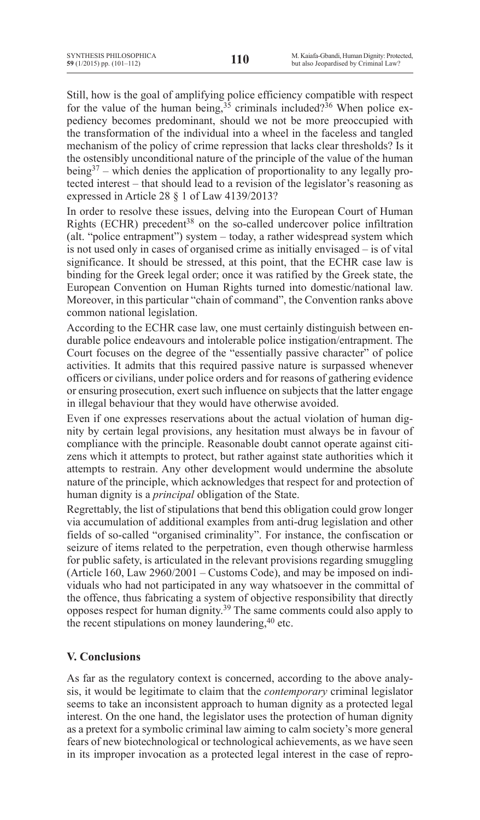Still, how is the goal of amplifying police efficiency compatible with respect for the value of the human being,  $35$  criminals included? 36 When police expediency becomes predominant, should we not be more preoccupied with the transformation of the individual into a wheel in the faceless and tangled mechanism of the policy of crime repression that lacks clear thresholds? Is it the ostensibly unconditional nature of the principle of the value of the human being37 – which denies the application of proportionality to any legally protected interest – that should lead to a revision of the legislator's reasoning as expressed in Article 28 § 1 of Law 4139/2013?

In order to resolve these issues, delving into the European Court of Human Rights (ECHR) precedent<sup>38</sup> on the so-called undercover police infiltration (alt. "police entrapment") system – today, a rather widespread system which is not used only in cases of organised crime as initially envisaged – is of vital significance. It should be stressed, at this point, that the ECHR case law is binding for the Greek legal order; once it was ratified by the Greek state, the European Convention on Human Rights turned into domestic/national law. Moreover, in this particular "chain of command", the Convention ranks above common national legislation.

According to the ECHR case law, one must certainly distinguish between endurable police endeavours and intolerable police instigation/entrapment. The Court focuses on the degree of the "essentially passive character" of police activities. It admits that this required passive nature is surpassed whenever officers or civilians, under police orders and for reasons of gathering evidence or ensuring prosecution, exert such influence on subjects that the latter engage in illegal behaviour that they would have otherwise avoided.

Even if one expresses reservations about the actual violation of human dignity by certain legal provisions, any hesitation must always be in favour of compliance with the principle. Reasonable doubt cannot operate against citizens which it attempts to protect, but rather against state authorities which it attempts to restrain. Any other development would undermine the absolute nature of the principle, which acknowledges that respect for and protection of human dignity is a *principal* obligation of the State.

Regrettably, the list of stipulations that bend this obligation could grow longer via accumulation of additional examples from anti-drug legislation and other fields of so-called "organised criminality". For instance, the confiscation or seizure of items related to the perpetration, even though otherwise harmless for public safety, is articulated in the relevant provisions regarding smuggling (Article 160, Law 2960/2001 – Customs Code), and may be imposed on individuals who had not participated in any way whatsoever in the committal of the offence, thus fabricating a system of objective responsibility that directly opposes respect for human dignity.39 The same comments could also apply to the recent stipulations on money laundering, <sup>40</sup> etc.

# **V. Conclusions**

As far as the regulatory context is concerned, according to the above analysis, it would be legitimate to claim that the *contemporary* criminal legislator seems to take an inconsistent approach to human dignity as a protected legal interest. On the one hand, the legislator uses the protection of human dignity as a pretext for a symbolic criminal law aiming to calm society's more general fears of new biotechnological or technological achievements, as we have seen in its improper invocation as a protected legal interest in the case of repro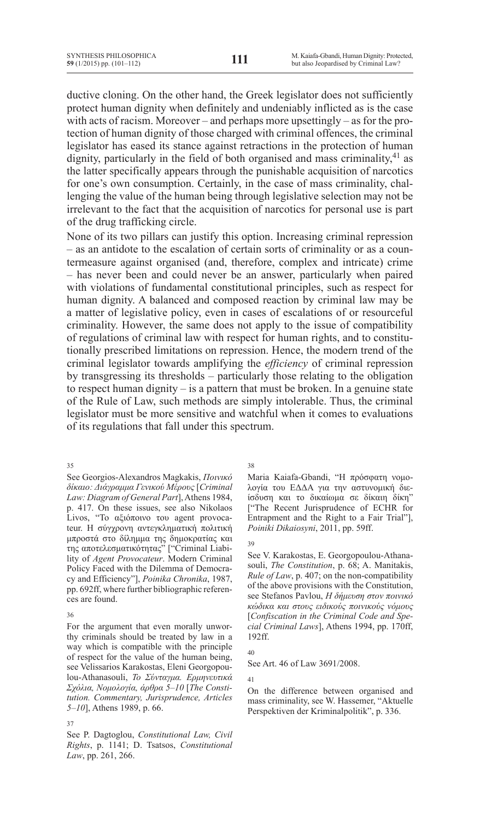ductive cloning. On the other hand, the Greek legislator does not sufficiently protect human dignity when definitely and undeniably inflicted as is the case with acts of racism. Moreover – and perhaps more upsettingly – as for the protection of human dignity of those charged with criminal offences, the criminal legislator has eased its stance against retractions in the protection of human dignity, particularly in the field of both organised and mass criminality,  $41$  as the latter specifically appears through the punishable acquisition of narcotics for one's own consumption. Certainly, in the case of mass criminality, challenging the value of the human being through legislative selection may not be irrelevant to the fact that the acquisition of narcotics for personal use is part of the drug trafficking circle.

None of its two pillars can justify this option. Increasing criminal repression – as an antidote to the escalation of certain sorts of criminality or as a countermeasure against organised (and, therefore, complex and intricate) crime – has never been and could never be an answer, particularly when paired with violations of fundamental constitutional principles, such as respect for human dignity. A balanced and composed reaction by criminal law may be a matter of legislative policy, even in cases of escalations of or resourceful criminality. However, the same does not apply to the issue of compatibility of regulations of criminal law with respect for human rights, and to constitutionally prescribed limitations on repression. Hence, the modern trend of the criminal legislator towards amplifying the *efficiency* of criminal repression by transgressing its thresholds – particularly those relating to the obligation to respect human dignity – is a pattern that must be broken. In a genuine state of the Rule of Law, such methods are simply intolerable. Thus, the criminal legislator must be more sensitive and watchful when it comes to evaluations of its regulations that fall under this spectrum.

35

See Georgios-Alexandros Magkakis, *Ποινικό δίκαιο: Διάγραμμα Γενικού Μέρους* [*Criminal*  Law: Diagram of General Part], Athens 1984, p. 417. On these issues, see also Nikolaos Livos, "Το αξιόποινο του agent provocateur. Η σύγχρονη αντεγκληματική πολιτική μπροστά στο δίλημμα της δημοκρατίας και της αποτελεσματικότητας" ["Criminal Liability of *Agent Provocateur*. Modern Criminal Policy Faced with the Dilemma of Democracy and Efficiency"], *Poinika Chronika*, 1987, pp. 692ff, where further bibliographic references are found.

36

For the argument that even morally unworthy criminals should be treated by law in a way which is compatible with the principle of respect for the value of the human being, see Velissarios Karakostas, Eleni Georgopoulou-Athanasouli, *Το Σύνταγμα. Ερμηνευτικά Σχόλια, Νομολογία, άρθρα 5–10* [*The Constitution. Commentary, Jurisprudence, Articles 5–10*], Athens 1989, p. 66.

#### 37

See P. Dagtoglou, *Constitutional Law, Civil Rights*, p. 1141; D. Tsatsos, *Constitutional Law*, pp. 261, 266.

38

Maria Kaiafa-Gbandi, "Η πρόσφατη νομολογία του ΕΔΔΑ για την αστυνομική διείσδυση και το δικαίωμα σε δίκαιη δίκη" ["The Recent Jurisprudence of ECHR for Entrapment and the Right to a Fair Trial"], *Poiniki Dikaiosyni*, 2011, pp. 59ff.

## 39

See V. Karakostas, E. Georgopoulou-Athanasouli, *The Constitution*, p. 68; A. Manitakis, *Rule of Law*, p. 407; on the non-compatibility of the above provisions with the Constitution, see Stefanos Pavlou, *Η δήμευση στον ποινικό κώδικα και στους ειδικούς ποινικούς νόμους*  [*Confiscation in the Criminal Code and Special Criminal Laws*], Athens 1994, pp. 170ff, 192ff.

## 40

See Art. 46 of Law 3691/2008.

41

On the difference between organised and mass criminality, see W. Hassemer, "Aktuelle Perspektiven der Kriminalpolitik", p. 336.